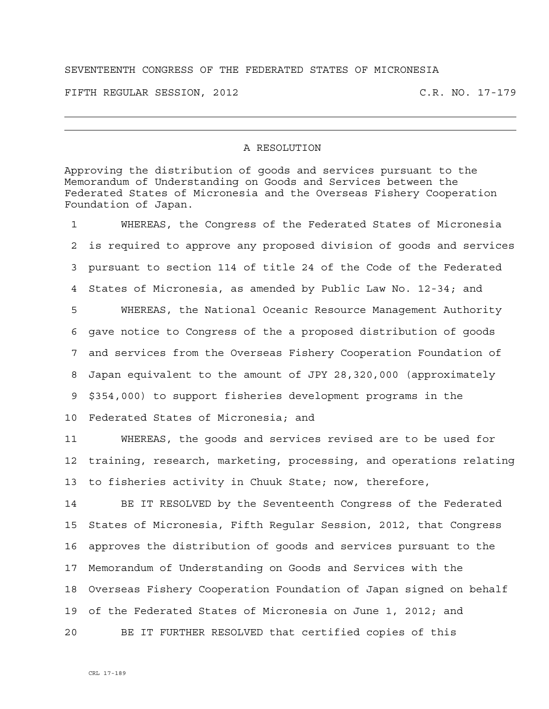## SEVENTEENTH CONGRESS OF THE FEDERATED STATES OF MICRONESIA

FIFTH REGULAR SESSION, 2012 C.R. NO. 17-179

## A RESOLUTION

Approving the distribution of goods and services pursuant to the Memorandum of Understanding on Goods and Services between the Federated States of Micronesia and the Overseas Fishery Cooperation Foundation of Japan.

1 WHEREAS, the Congress of the Federated States of Micronesia 2 is required to approve any proposed division of goods and services 3 pursuant to section 114 of title 24 of the Code of the Federated 4 States of Micronesia, as amended by Public Law No. 12-34; and 5 WHEREAS, the National Oceanic Resource Management Authority 6 gave notice to Congress of the a proposed distribution of goods 7 and services from the Overseas Fishery Cooperation Foundation of 8 Japan equivalent to the amount of JPY 28,320,000 (approximately 9 \$354,000) to support fisheries development programs in the 10 Federated States of Micronesia; and

11 WHEREAS, the goods and services revised are to be used for 12 training, research, marketing, processing, and operations relating 13 to fisheries activity in Chuuk State; now, therefore,

14 BE IT RESOLVED by the Seventeenth Congress of the Federated 15 States of Micronesia, Fifth Regular Session, 2012, that Congress 16 approves the distribution of goods and services pursuant to the 17 Memorandum of Understanding on Goods and Services with the 18 Overseas Fishery Cooperation Foundation of Japan signed on behalf 19 of the Federated States of Micronesia on June 1, 2012; and 20 BE IT FURTHER RESOLVED that certified copies of this